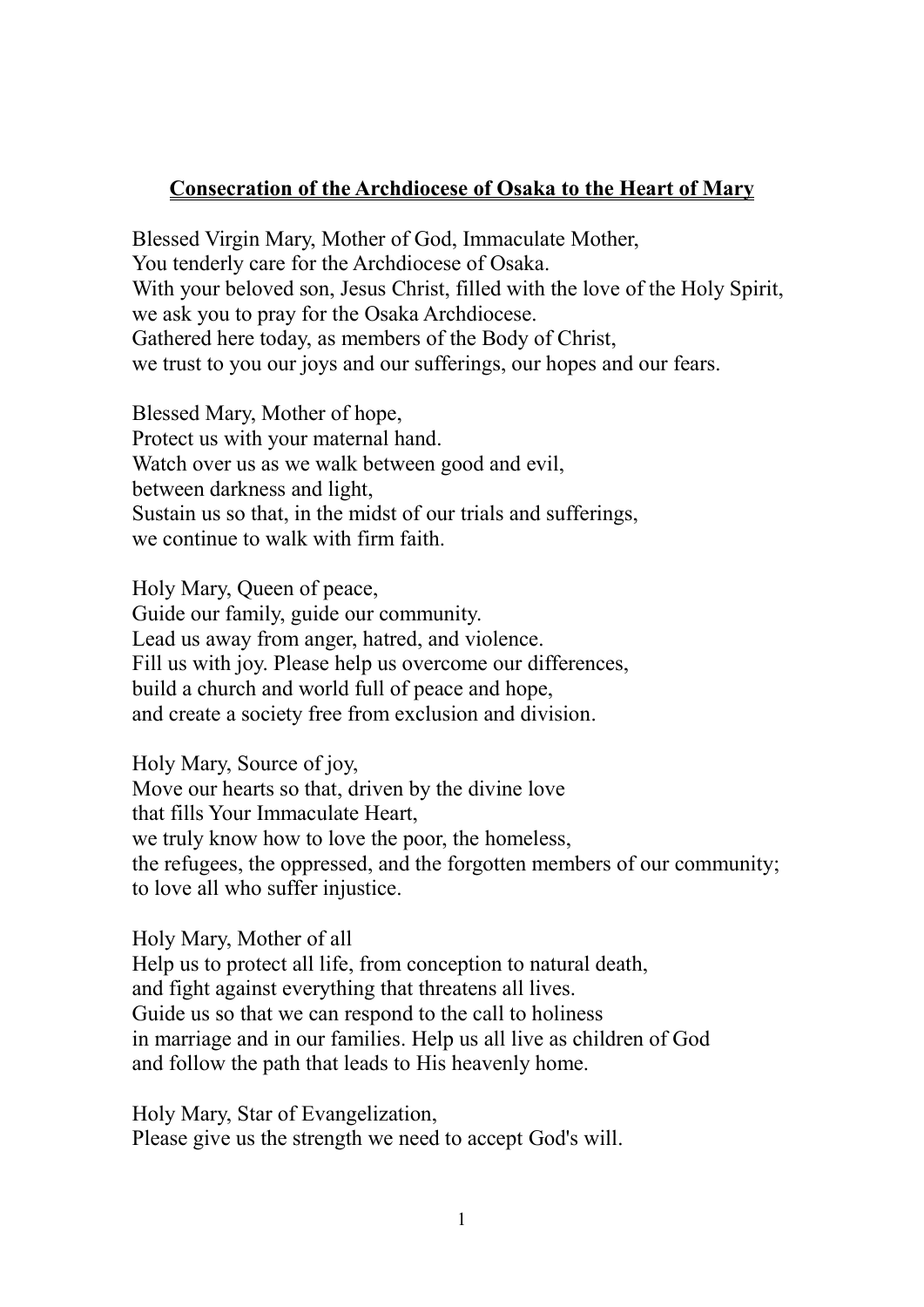## **Consecration of the Archdiocese of Osaka to the Heart of Mary**

Blessed Virgin Mary, Mother of God, Immaculate Mother, You tenderly care for the Archdiocese of Osaka. With your beloved son, Jesus Christ, filled with the love of the Holy Spirit, we ask you to pray for the Osaka Archdiocese. Gathered here today, as members of the Body of Christ, we trust to you our joys and our sufferings, our hopes and our fears.

Blessed Mary, Mother of hope, Protect us with your maternal hand. Watch over us as we walk between good and evil, between darkness and light, Sustain us so that, in the midst of our trials and sufferings, we continue to walk with firm faith.

Holy Mary, Queen of peace, Guide our family, guide our community. Lead us away from anger, hatred, and violence. Fill us with joy. Please help us overcome our differences, build a church and world full of peace and hope, and create a society free from exclusion and division.

Holy Mary, Source of joy, Move our hearts so that, driven by the divine love that fills Your Immaculate Heart, we truly know how to love the poor, the homeless, the refugees, the oppressed, and the forgotten members of our community; to love all who suffer injustice.

Holy Mary, Mother of all

Help us to protect all life, from conception to natural death, and fight against everything that threatens all lives. Guide us so that we can respond to the call to holiness in marriage and in our families. Help us all live as children of God and follow the path that leads to His heavenly home.

Holy Mary, Star of Evangelization, Please give us the strength we need to accept God's will.